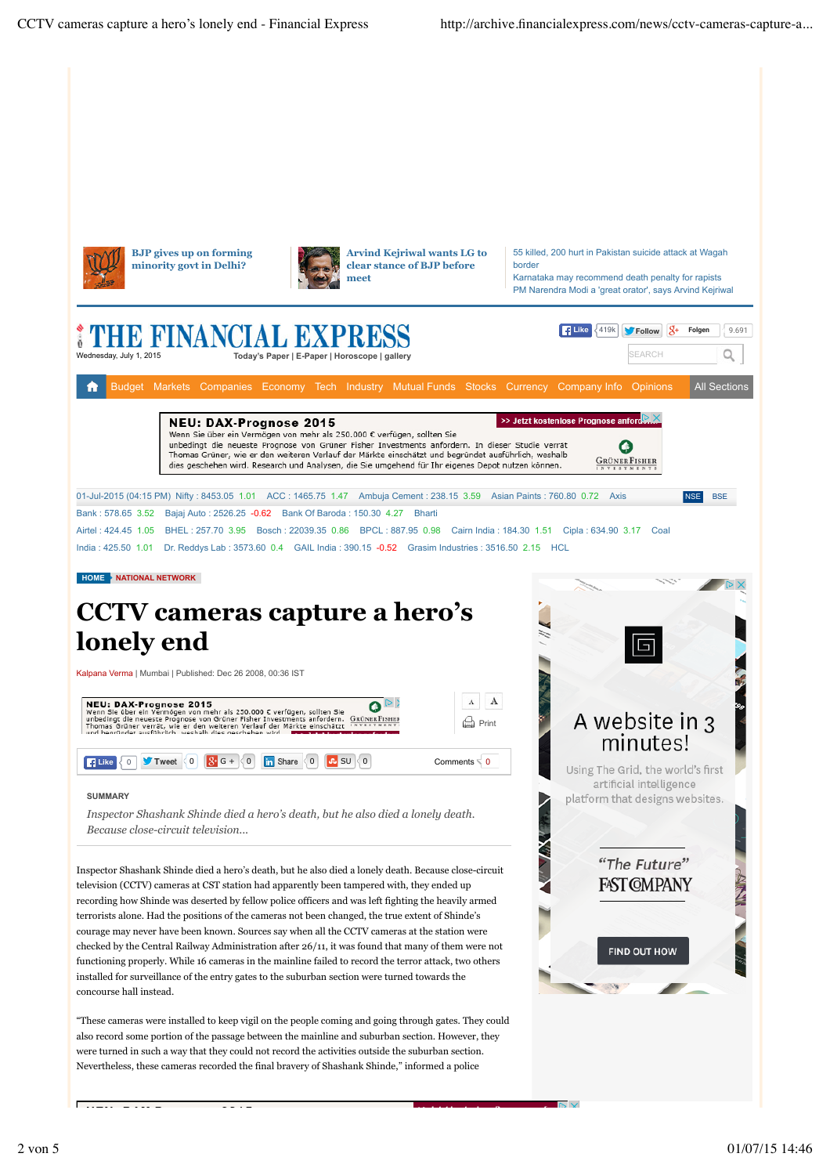